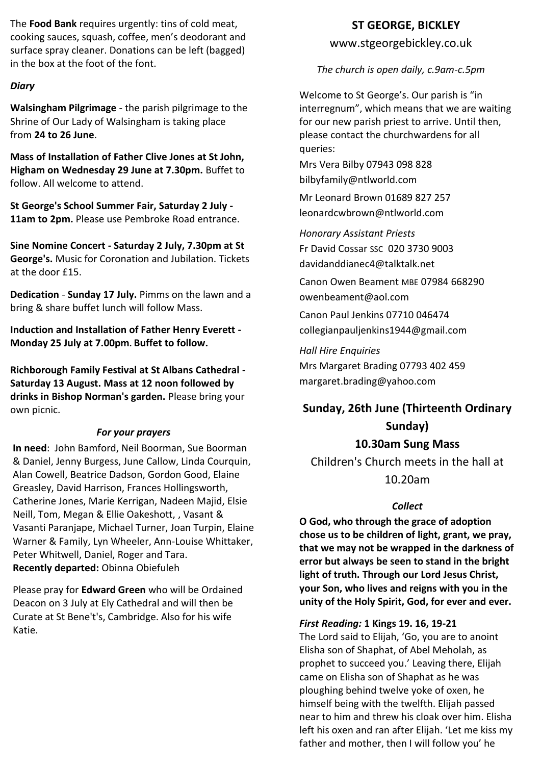The **Food Bank** requires urgently: tins of cold meat, cooking sauces, squash, coffee, men's deodorant and surface spray cleaner. Donations can be left (bagged) in the box at the foot of the font.

#### *Diary*

**Walsingham Pilgrimage** - the parish pilgrimage to the Shrine of Our Lady of Walsingham is taking place from **24 to 26 June**.

**Mass of Installation of Father Clive Jones at St John, Higham on Wednesday 29 June at 7.30pm.** Buffet to follow. All welcome to attend.

**St George's School Summer Fair, Saturday 2 July - 11am to 2pm.** Please use Pembroke Road entrance.

**Sine Nomine Concert - Saturday 2 July, 7.30pm at St George's.** Music for Coronation and Jubilation. Tickets at the door £15.

**Dedication** - **Sunday 17 July.** Pimms on the lawn and a bring & share buffet lunch will follow Mass.

**Induction and Installation of Father Henry Everett - Monday 25 July at 7.00pm. Buffet to follow.**

**Richborough Family Festival at St Albans Cathedral - Saturday 13 August. Mass at 12 noon followed by drinks in Bishop Norman's garden.** Please bring your own picnic.

#### *For your prayers*

**In need**: John Bamford, Neil Boorman, Sue Boorman & Daniel, Jenny Burgess, June Callow, Linda Courquin, Alan Cowell, Beatrice Dadson, Gordon Good, Elaine Greasley, David Harrison, Frances Hollingsworth, Catherine Jones, Marie Kerrigan, Nadeen Majid, Elsie Neill, Tom, Megan & Ellie Oakeshott, , Vasant & Vasanti Paranjape, Michael Turner, Joan Turpin, Elaine Warner & Family, Lyn Wheeler, Ann-Louise Whittaker, Peter Whitwell, Daniel, Roger and Tara. **Recently departed:** Obinna Obiefuleh

Please pray for **Edward Green** who will be Ordained Deacon on 3 July at Ely Cathedral and will then be Curate at St Bene't's, Cambridge. Also for his wife Katie.

# **ST GEORGE, BICKLEY**

www.stgeorgebickley.co.uk

*The church is open daily, c.9am-c.5pm*

Welcome to St George's. Our parish is "in interregnum", which means that we are waiting for our new parish priest to arrive. Until then, please contact the churchwardens for all queries:

Mrs Vera Bilby 07943 098 828 bilbyfamily@ntlworld.com

Mr Leonard Brown 01689 827 257 leonardcwbrown@ntlworld.com

*Honorary Assistant Priests* Fr David Cossar SSC 020 3730 9003 davidanddianec4@talktalk.net

Canon Owen Beament MBE 07984 668290 owenbeament@aol.com

Canon Paul Jenkins 07710 046474 collegianpauljenkins1944@gmail.com

*Hall Hire Enquiries* Mrs Margaret Brading 07793 402 459 margaret.brading@yahoo.com

# **Sunday, 26th June (Thirteenth Ordinary Sunday)**

# **10.30am Sung Mass**

Children's Church meets in the hall at 10.20am

# *Collect*

**O God, who through the grace of adoption chose us to be children of light, grant, we pray, that we may not be wrapped in the darkness of error but always be seen to stand in the bright light of truth. Through our Lord Jesus Christ, your Son, who lives and reigns with you in the unity of the Holy Spirit, God, for ever and ever.**

#### *First Reading:* **1 Kings 19. 16, 19-21**

The Lord said to Elijah, 'Go, you are to anoint Elisha son of Shaphat, of Abel Meholah, as prophet to succeed you.' Leaving there, Elijah came on Elisha son of Shaphat as he was ploughing behind twelve yoke of oxen, he himself being with the twelfth. Elijah passed near to him and threw his cloak over him. Elisha left his oxen and ran after Elijah. 'Let me kiss my father and mother, then I will follow you' he